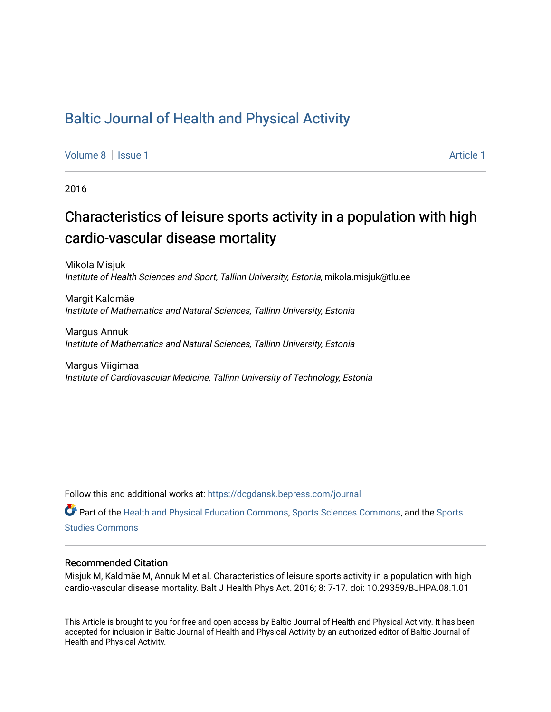## [Baltic Journal of Health and Physical Activity](https://dcgdansk.bepress.com/journal)

[Volume 8](https://dcgdansk.bepress.com/journal/vol8) | [Issue 1](https://dcgdansk.bepress.com/journal/vol8/iss1) Article 1

2016

# Characteristics of leisure sports activity in a population with high cardio-vascular disease mortality

Mikola Misjuk Institute of Health Sciences and Sport, Tallinn University, Estonia, mikola.misjuk@tlu.ee

Margit Kaldmäe Institute of Mathematics and Natural Sciences, Tallinn University, Estonia

Margus Annuk Institute of Mathematics and Natural Sciences, Tallinn University, Estonia

Margus Viigimaa Institute of Cardiovascular Medicine, Tallinn University of Technology, Estonia

Follow this and additional works at: [https://dcgdansk.bepress.com/journal](https://dcgdansk.bepress.com/journal?utm_source=dcgdansk.bepress.com%2Fjournal%2Fvol8%2Fiss1%2F1&utm_medium=PDF&utm_campaign=PDFCoverPages)

Part of the [Health and Physical Education Commons](http://network.bepress.com/hgg/discipline/1327?utm_source=dcgdansk.bepress.com%2Fjournal%2Fvol8%2Fiss1%2F1&utm_medium=PDF&utm_campaign=PDFCoverPages), [Sports Sciences Commons](http://network.bepress.com/hgg/discipline/759?utm_source=dcgdansk.bepress.com%2Fjournal%2Fvol8%2Fiss1%2F1&utm_medium=PDF&utm_campaign=PDFCoverPages), and the [Sports](http://network.bepress.com/hgg/discipline/1198?utm_source=dcgdansk.bepress.com%2Fjournal%2Fvol8%2Fiss1%2F1&utm_medium=PDF&utm_campaign=PDFCoverPages)  [Studies Commons](http://network.bepress.com/hgg/discipline/1198?utm_source=dcgdansk.bepress.com%2Fjournal%2Fvol8%2Fiss1%2F1&utm_medium=PDF&utm_campaign=PDFCoverPages) 

#### Recommended Citation

Misjuk M, Kaldmäe M, Annuk M et al. Characteristics of leisure sports activity in a population with high cardio-vascular disease mortality. Balt J Health Phys Act. 2016; 8: 7-17. doi: 10.29359/BJHPA.08.1.01

This Article is brought to you for free and open access by Baltic Journal of Health and Physical Activity. It has been accepted for inclusion in Baltic Journal of Health and Physical Activity by an authorized editor of Baltic Journal of Health and Physical Activity.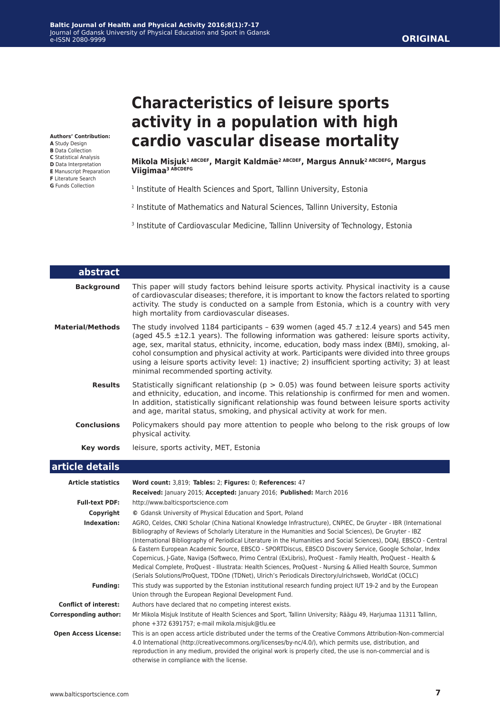## **ORIGINAL**

**Authors' Contribution:**

- **A** Study Design
- **B** Data Collection **C** Statistical Analysis
- **D** Data Interpretation
- **E** Manuscript Preparation
- **F** Literature Search
- **G** Funds Collection

# **Characteristics of leisure sports activity in a population with high cardio vascular disease mortality**

**Mikola Misjuk1 ABCDEF, Margit Kaldmäe2 ABCDEF, Margus Annuk2 ABCDEFG, Margus Viigimaa3 ABCDEFG**

- <sup>1</sup> Institute of Health Sciences and Sport, Tallinn University, Estonia
- 2 Institute of Mathematics and Natural Sciences, Tallinn University, Estonia
- <sup>3</sup> Institute of Cardiovascular Medicine, Tallinn University of Technology, Estonia

| abstract                     |                                                                                                                                                                                                                                                                                                                                                                                                                                                                                                                                                                                                                                                                                                                                                                                                      |
|------------------------------|------------------------------------------------------------------------------------------------------------------------------------------------------------------------------------------------------------------------------------------------------------------------------------------------------------------------------------------------------------------------------------------------------------------------------------------------------------------------------------------------------------------------------------------------------------------------------------------------------------------------------------------------------------------------------------------------------------------------------------------------------------------------------------------------------|
| <b>Background</b>            | This paper will study factors behind leisure sports activity. Physical inactivity is a cause<br>of cardiovascular diseases; therefore, it is important to know the factors related to sporting<br>activity. The study is conducted on a sample from Estonia, which is a country with very<br>high mortality from cardiovascular diseases.                                                                                                                                                                                                                                                                                                                                                                                                                                                            |
| <b>Material/Methods</b>      | The study involved 1184 participants - 639 women (aged 45.7 $\pm$ 12.4 years) and 545 men<br>(aged 45.5 $\pm$ 12.1 years). The following information was gathered: leisure sports activity,<br>age, sex, marital status, ethnicity, income, education, body mass index (BMI), smoking, al-<br>cohol consumption and physical activity at work. Participants were divided into three groups<br>using a leisure sports activity level: 1) inactive; 2) insufficient sporting activity; 3) at least<br>minimal recommended sporting activity.                                                                                                                                                                                                                                                           |
| <b>Results</b>               | Statistically significant relationship ( $p > 0.05$ ) was found between leisure sports activity<br>and ethnicity, education, and income. This relationship is confirmed for men and women.<br>In addition, statistically significant relationship was found between leisure sports activity<br>and age, marital status, smoking, and physical activity at work for men.                                                                                                                                                                                                                                                                                                                                                                                                                              |
| <b>Conclusions</b>           | Policymakers should pay more attention to people who belong to the risk groups of low<br>physical activity.                                                                                                                                                                                                                                                                                                                                                                                                                                                                                                                                                                                                                                                                                          |
| Key words                    | leisure, sports activity, MET, Estonia                                                                                                                                                                                                                                                                                                                                                                                                                                                                                                                                                                                                                                                                                                                                                               |
| article details              |                                                                                                                                                                                                                                                                                                                                                                                                                                                                                                                                                                                                                                                                                                                                                                                                      |
| <b>Article statistics</b>    | Word count: 3,819; Tables: 2; Figures: 0; References: 47                                                                                                                                                                                                                                                                                                                                                                                                                                                                                                                                                                                                                                                                                                                                             |
|                              | Received: January 2015; Accepted: January 2016; Published: March 2016                                                                                                                                                                                                                                                                                                                                                                                                                                                                                                                                                                                                                                                                                                                                |
| <b>Full-text PDF:</b>        | http://www.balticsportscience.com                                                                                                                                                                                                                                                                                                                                                                                                                                                                                                                                                                                                                                                                                                                                                                    |
| Copyright                    | © Gdansk University of Physical Education and Sport, Poland                                                                                                                                                                                                                                                                                                                                                                                                                                                                                                                                                                                                                                                                                                                                          |
| Indexation:                  | AGRO, Celdes, CNKI Scholar (China National Knowledge Infrastructure), CNPIEC, De Gruyter - IBR (International<br>Bibliography of Reviews of Scholarly Literature in the Humanities and Social Sciences), De Gruyter - IBZ<br>(International Bibliography of Periodical Literature in the Humanities and Social Sciences), DOAJ, EBSCO - Central<br>& Eastern European Academic Source, EBSCO - SPORTDiscus, EBSCO Discovery Service, Google Scholar, Index<br>Copernicus, J-Gate, Naviga (Softweco, Primo Central (ExLibris), ProQuest - Family Health, ProQuest - Health &<br>Medical Complete, ProQuest - Illustrata: Health Sciences, ProQuest - Nursing & Allied Health Source, Summon<br>(Serials Solutions/ProQuest, TDOne (TDNet), Ulrich's Periodicals Directory/ulrichsweb, WorldCat (OCLC) |
| <b>Funding:</b>              | This study was supported by the Estonian institutional research funding project IUT 19-2 and by the European<br>Union through the European Regional Development Fund.                                                                                                                                                                                                                                                                                                                                                                                                                                                                                                                                                                                                                                |
| <b>Conflict of interest:</b> | Authors have declared that no competing interest exists.                                                                                                                                                                                                                                                                                                                                                                                                                                                                                                                                                                                                                                                                                                                                             |
| <b>Corresponding author:</b> | Mr Mikola Misjuk Institute of Health Sciences and Sport, Tallinn University; Räägu 49, Harjumaa 11311 Tallinn,<br>phone +372 6391757; e-mail mikola.misjuk@tlu.ee                                                                                                                                                                                                                                                                                                                                                                                                                                                                                                                                                                                                                                    |
| <b>Open Access License:</b>  | This is an open access article distributed under the terms of the Creative Commons Attribution-Non-commercial<br>4.0 International (http://creativecommons.org/licenses/by-nc/4.0/), which permits use, distribution, and<br>reproduction in any medium, provided the original work is properly cited, the use is non-commercial and is<br>otherwise in compliance with the license.                                                                                                                                                                                                                                                                                                                                                                                                                 |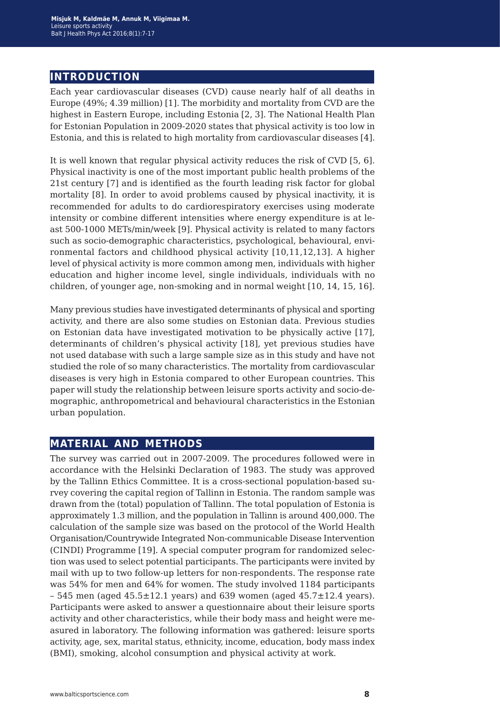## **introduction**

Each year cardiovascular diseases (CVD) cause nearly half of all deaths in Europe (49%; 4.39 million) [1]. The morbidity and mortality from CVD are the highest in Eastern Europe, including Estonia [2, 3]. The National Health Plan for Estonian Population in 2009-2020 states that physical activity is too low in Estonia, and this is related to high mortality from cardiovascular diseases [4].

It is well known that regular physical activity reduces the risk of CVD [5, 6]. Physical inactivity is one of the most important public health problems of the 21st century [7] and is identified as the fourth leading risk factor for global mortality [8]. In order to avoid problems caused by physical inactivity, it is recommended for adults to do cardiorespiratory exercises using moderate intensity or combine different intensities where energy expenditure is at least 500-1000 METs/min/week [9]. Physical activity is related to many factors such as socio-demographic characteristics, psychological, behavioural, environmental factors and childhood physical activity [10,11,12,13]. A higher level of physical activity is more common among men, individuals with higher education and higher income level, single individuals, individuals with no children, of younger age, non-smoking and in normal weight [10, 14, 15, 16].

Many previous studies have investigated determinants of physical and sporting activity, and there are also some studies on Estonian data. Previous studies on Estonian data have investigated motivation to be physically active [17], determinants of children's physical activity [18], yet previous studies have not used database with such a large sample size as in this study and have not studied the role of so many characteristics. The mortality from cardiovascular diseases is very high in Estonia compared to other European countries. This paper will study the relationship between leisure sports activity and socio-demographic, anthropometrical and behavioural characteristics in the Estonian urban population.

## **material and methods**

The survey was carried out in 2007-2009. The procedures followed were in accordance with the Helsinki Declaration of 1983. The study was approved by the Tallinn Ethics Committee. It is a cross-sectional population-based survey covering the capital region of Tallinn in Estonia. The random sample was drawn from the (total) population of Tallinn. The total population of Estonia is approximately 1.3 million, and the population in Tallinn is around 400,000. The calculation of the sample size was based on the protocol of the World Health Organisation/Countrywide Integrated Non-communicable Disease Intervention (CINDI) Programme [19]. A special computer program for randomized selection was used to select potential participants. The participants were invited by mail with up to two follow-up letters for non-respondents. The response rate was 54% for men and 64% for women. The study involved 1184 participants  $-545$  men (aged  $45.5 \pm 12.1$  years) and 639 women (aged  $45.7 \pm 12.4$  years). Participants were asked to answer a questionnaire about their leisure sports activity and other characteristics, while their body mass and height were measured in laboratory. The following information was gathered: leisure sports activity, age, sex, marital status, ethnicity, income, education, body mass index (BMI), smoking, alcohol consumption and physical activity at work.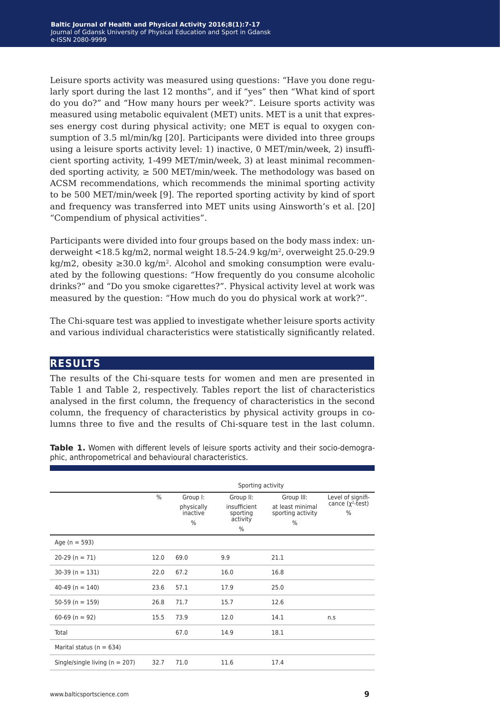Leisure sports activity was measured using questions: "Have you done regularly sport during the last 12 months", and if "yes" then "What kind of sport do you do?" and "How many hours per week?". Leisure sports activity was measured using metabolic equivalent (MET) units. MET is a unit that expresses energy cost during physical activity; one MET is equal to oxygen consumption of 3.5 ml/min/kg [20]. Participants were divided into three groups using a leisure sports activity level: 1) inactive, 0 MET/min/week, 2) insufficient sporting activity, 1-499 MET/min/week, 3) at least minimal recommended sporting activity,  $\geq 500 \text{ MET/min/week}$ . The methodology was based on ACSM recommendations, which recommends the minimal sporting activity to be 500 MET/min/week [9]. The reported sporting activity by kind of sport and frequency was transferred into MET units using Ainsworth's et al. [20] "Compendium of physical activities".

Participants were divided into four groups based on the body mass index: underweight <18.5 kg/m2, normal weight 18.5-24.9 kg/m2, overweight 25.0-29.9 kg/m2, obesity  $\geq$ 30.0 kg/m<sup>2</sup>. Alcohol and smoking consumption were evaluated by the following questions: "How frequently do you consume alcoholic drinks?" and "Do you smoke cigarettes?". Physical activity level at work was measured by the question: "How much do you do physical work at work?".

The Chi-square test was applied to investigate whether leisure sports activity and various individual characteristics were statistically significantly related.

### **results**

The results of the Chi-square tests for women and men are presented in Table 1 and Table 2, respectively. Tables report the list of characteristics analysed in the first column, the frequency of characteristics in the second column, the frequency of characteristics by physical activity groups in columns three to five and the results of Chi-square test in the last column.

**Table 1.** Women with different levels of leisure sports activity and their socio-demographic, anthropometrical and behavioural characteristics.

|                                    | Sporting activity |                                         |                                                        |                                                          |                                              |  |
|------------------------------------|-------------------|-----------------------------------------|--------------------------------------------------------|----------------------------------------------------------|----------------------------------------------|--|
|                                    | %                 | Group I:<br>physically<br>inactive<br>% | Group II:<br>insufficient<br>sporting<br>activity<br>% | Group III:<br>at least minimal<br>sporting activity<br>% | Level of signifi-<br>cance $(y^2-test)$<br>% |  |
| Age ( $n = 593$ )                  |                   |                                         |                                                        |                                                          |                                              |  |
| $20-29$ (n = 71)                   | 12.0              | 69.0                                    | 9.9                                                    | 21.1                                                     |                                              |  |
| $30-39$ (n = 131)                  | 22.0              | 67.2                                    | 16.0                                                   | 16.8                                                     |                                              |  |
| $40-49$ (n = 140)                  | 23.6              | 57.1                                    | 17.9                                                   | 25.0                                                     |                                              |  |
| $50-59$ (n = 159)                  | 26.8              | 71.7                                    | 15.7                                                   | 12.6                                                     |                                              |  |
| $60-69$ (n = 92)                   | 15.5              | 73.9                                    | 12.0                                                   | 14.1                                                     | n.S                                          |  |
| Total                              |                   | 67.0                                    | 14.9                                                   | 18.1                                                     |                                              |  |
| Marital status ( $n = 634$ )       |                   |                                         |                                                        |                                                          |                                              |  |
| Single/single living ( $n = 207$ ) | 32.7              | 71.0                                    | 11.6                                                   | 17.4                                                     |                                              |  |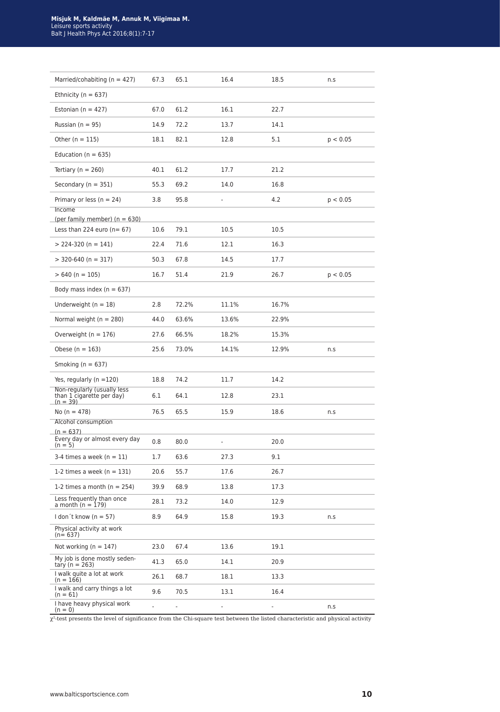| Married/cohabiting ( $n = 427$ )                                       | 67.3 | 65.1  | 16.4  | 18.5  | n.S      |
|------------------------------------------------------------------------|------|-------|-------|-------|----------|
| Ethnicity ( $n = 637$ )                                                |      |       |       |       |          |
| Estonian ( $n = 427$ )                                                 | 67.0 | 61.2  | 16.1  | 22.7  |          |
| Russian $(n = 95)$                                                     | 14.9 | 72.2  | 13.7  | 14.1  |          |
| Other ( $n = 115$ )                                                    | 18.1 | 82.1  | 12.8  | 5.1   | p < 0.05 |
| Education ( $n = 635$ )                                                |      |       |       |       |          |
| Tertiary ( $n = 260$ )                                                 | 40.1 | 61.2  | 17.7  | 21.2  |          |
| Secondary ( $n = 351$ )                                                | 55.3 | 69.2  | 14.0  | 16.8  |          |
| Primary or less ( $n = 24$ )                                           | 3.8  | 95.8  |       | 4.2   | p < 0.05 |
| Income<br>(per family member) ( $n = 630$ )                            |      |       |       |       |          |
| Less than 224 euro ( $n = 67$ )                                        | 10.6 | 79.1  | 10.5  | 10.5  |          |
| $> 224-320$ (n = 141)                                                  | 22.4 | 71.6  | 12.1  | 16.3  |          |
| $>$ 320-640 (n = 317)                                                  | 50.3 | 67.8  | 14.5  | 17.7  |          |
| $> 640 (n = 105)$                                                      | 16.7 | 51.4  | 21.9  | 26.7  | p < 0.05 |
| Body mass index ( $n = 637$ )                                          |      |       |       |       |          |
| Underweight ( $n = 18$ )                                               | 2.8  | 72.2% | 11.1% | 16.7% |          |
| Normal weight ( $n = 280$ )                                            | 44.0 | 63.6% | 13.6% | 22.9% |          |
| Overweight ( $n = 176$ )                                               | 27.6 | 66.5% | 18.2% | 15.3% |          |
| Obese ( $n = 163$ )                                                    | 25.6 | 73.0% | 14.1% | 12.9% | n.S      |
| Smoking ( $n = 637$ )                                                  |      |       |       |       |          |
| Yes, regularly ( $n = 120$ )                                           | 18.8 | 74.2  | 11.7  | 14.2  |          |
| Non-regularly (usually less<br>than 1 cigarette per day)<br>$(n = 39)$ | 6.1  | 64.1  | 12.8  | 23.1  |          |
| No $(n = 478)$                                                         | 76.5 | 65.5  | 15.9  | 18.6  | n.s      |
| Alcohol consumption<br>$(n = 637)$                                     |      |       |       |       |          |
| Every day or almost every day<br>$(n = 5)$                             | 0.8  | 80.0  | ä,    | 20.0  |          |
| 3-4 times a week ( $n = 11$ )                                          | 1.7  | 63.6  | 27.3  | 9.1   |          |
| 1-2 times a week ( $n = 131$ )                                         | 20.6 | 55.7  | 17.6  | 26.7  |          |
| 1-2 times a month ( $n = 254$ )                                        | 39.9 | 68.9  | 13.8  | 17.3  |          |
| Less frequently than once<br>a month $(n = 179)$                       | 28.1 | 73.2  | 14.0  | 12.9  |          |
| I don't know ( $n = 57$ )                                              | 8.9  | 64.9  | 15.8  | 19.3  | n.s      |
| Physical activity at work<br>$(n = 637)$                               |      |       |       |       |          |
| Not working ( $n = 147$ )                                              | 23.0 | 67.4  | 13.6  | 19.1  |          |
| My job is done mostly seden-<br>tary (n = 263)                         | 41.3 | 65.0  | 14.1  | 20.9  |          |
| I walk quite a lot at work<br>$(n = 166)$                              | 26.1 | 68.7  | 18.1  | 13.3  |          |
| I walk and carry things a lot                                          |      |       |       |       |          |
| $(n = 61)$<br>I have heavy physical work                               | 9.6  | 70.5  | 13.1  | 16.4  |          |

 $\chi^2$ -test presents the level of significance from the Chi-square test between the listed characteristic and physical activity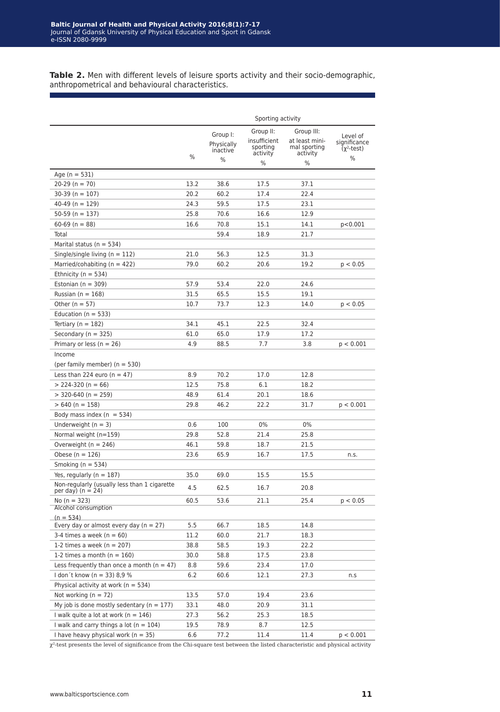Table 2. Men with different levels of leisure sports activity and their socio-demographic, anthropometrical and behavioural characteristics.

|                                                                   |      | Sporting activity                   |                                      |                                            |                                                    |  |  |
|-------------------------------------------------------------------|------|-------------------------------------|--------------------------------------|--------------------------------------------|----------------------------------------------------|--|--|
|                                                                   |      | Group II:<br>Group III:<br>Group I: |                                      |                                            |                                                    |  |  |
|                                                                   |      | Physically<br>inactive              | insufficient<br>sporting<br>activity | at least mini-<br>mal sporting<br>activity | Level of<br>significance<br>(χ <sup>2</sup> -test) |  |  |
|                                                                   | %    | %                                   | %                                    | %                                          | %                                                  |  |  |
| Age ( $n = 531$ )                                                 |      |                                     |                                      |                                            |                                                    |  |  |
| $20-29$ (n = 70)                                                  | 13.2 | 38.6                                | 17.5                                 | 37.1                                       |                                                    |  |  |
| $30-39$ (n = 107)                                                 | 20.2 | 60.2                                | 17.4                                 | 22.4                                       |                                                    |  |  |
| $40-49$ (n = 129)                                                 | 24.3 | 59.5                                | 17.5                                 | 23.1                                       |                                                    |  |  |
| 50-59 (n = 137)                                                   | 25.8 | 70.6                                | 16.6                                 | 12.9                                       |                                                    |  |  |
| $60-69$ (n = 88)                                                  | 16.6 | 70.8                                | 15.1                                 | 14.1                                       | p<0.001                                            |  |  |
| Total                                                             |      | 59.4                                | 18.9                                 | 21.7                                       |                                                    |  |  |
|                                                                   |      |                                     |                                      |                                            |                                                    |  |  |
| Marital status ( $n = 534$ )                                      |      |                                     |                                      |                                            |                                                    |  |  |
| Single/single living ( $n = 112$ )                                | 21.0 | 56.3                                | 12.5                                 | 31.3                                       |                                                    |  |  |
| Married/cohabiting ( $n = 422$ )                                  | 79.0 | 60.2                                | 20.6                                 | 19.2                                       | p < 0.05                                           |  |  |
| Ethnicity ( $n = 534$ )                                           |      |                                     |                                      |                                            |                                                    |  |  |
| Estonian ( $n = 309$ )                                            | 57.9 | 53.4                                | 22.0                                 | 24.6                                       |                                                    |  |  |
| Russian ( $n = 168$ )                                             | 31.5 | 65.5                                | 15.5                                 | 19.1                                       |                                                    |  |  |
| Other ( $n = 57$ )                                                | 10.7 | 73.7                                | 12.3                                 | 14.0                                       | p < 0.05                                           |  |  |
| Education ( $n = 533$ )                                           |      |                                     |                                      |                                            |                                                    |  |  |
| Tertiary ( $n = 182$ )                                            | 34.1 | 45.1                                | 22.5                                 | 32.4                                       |                                                    |  |  |
| Secondary ( $n = 325$ )                                           | 61.0 | 65.0                                | 17.9                                 | 17.2                                       |                                                    |  |  |
| Primary or less ( $n = 26$ )                                      | 4.9  | 88.5                                | 7.7                                  | 3.8                                        | p < 0.001                                          |  |  |
| Income                                                            |      |                                     |                                      |                                            |                                                    |  |  |
| (per family member) $(n = 530)$                                   |      |                                     |                                      |                                            |                                                    |  |  |
| Less than 224 euro ( $n = 47$ )                                   | 8.9  | 70.2                                | 17.0                                 | 12.8                                       |                                                    |  |  |
| $> 224-320$ (n = 66)                                              | 12.5 | 75.8                                | 6.1                                  | 18.2                                       |                                                    |  |  |
| $>$ 320-640 (n = 259)                                             | 48.9 | 61.4                                | 20.1                                 | 18.6                                       |                                                    |  |  |
| $>640$ (n = 158)                                                  | 29.8 | 46.2                                | 22.2                                 | 31.7                                       | p < 0.001                                          |  |  |
| Body mass index ( $n = 534$ )                                     |      |                                     |                                      |                                            |                                                    |  |  |
| Underweight ( $n = 3$ )                                           | 0.6  | 100                                 | 0%                                   | 0%                                         |                                                    |  |  |
| Normal weight $(n=159)$                                           | 29.8 | 52.8                                | 21.4                                 | 25.8                                       |                                                    |  |  |
| Overweight ( $n = 246$ )                                          | 46.1 | 59.8                                | 18.7                                 | 21.5                                       |                                                    |  |  |
| Obese ( $n = 126$ )                                               | 23.6 | 65.9                                | 16.7                                 | 17.5                                       | n.s.                                               |  |  |
| Smoking ( $n = 534$ )                                             |      |                                     |                                      |                                            |                                                    |  |  |
|                                                                   |      |                                     |                                      |                                            |                                                    |  |  |
| Yes, regularly ( $n = 187$ )                                      | 35.0 | 69.0                                | 15.5                                 | 15.5                                       |                                                    |  |  |
| Non-regularly (usually less than 1 cigarette<br>per day) (n = 24) | 4.5  | 62.5                                | 16.7                                 | 20.8                                       |                                                    |  |  |
| No $(n = 323)$                                                    | 60.5 | 53.6                                | 21.1                                 | 25.4                                       | p < 0.05                                           |  |  |
| Alcohol consumption                                               |      |                                     |                                      |                                            |                                                    |  |  |
| $(n = 534)$                                                       |      |                                     |                                      |                                            |                                                    |  |  |
| Every day or almost every day ( $n = 27$ )                        | 5.5  | 66.7                                | 18.5                                 | 14.8                                       |                                                    |  |  |
| 3-4 times a week ( $n = 60$ )                                     | 11.2 | 60.0                                | 21.7                                 | 18.3                                       |                                                    |  |  |
| 1-2 times a week ( $n = 207$ )                                    | 38.8 | 58.5                                | 19.3                                 | 22.2                                       |                                                    |  |  |
| 1-2 times a month ( $n = 160$ )                                   | 30.0 | 58.8                                | 17.5                                 | 23.8                                       |                                                    |  |  |
| Less frequently than once a month ( $n = 47$ )                    | 8.8  | 59.6                                | 23.4                                 | 17.0                                       |                                                    |  |  |
| I don't know (n = 33) 8,9 %                                       | 6.2  | 60.6                                | 12.1                                 | 27.3                                       | n.s                                                |  |  |
| Physical activity at work ( $n = 534$ )                           |      |                                     |                                      |                                            |                                                    |  |  |
| Not working ( $n = 72$ )                                          | 13.5 | 57.0                                | 19.4                                 | 23.6                                       |                                                    |  |  |
| My job is done mostly sedentary ( $n = 177$ )                     | 33.1 | 48.0                                | 20.9                                 | 31.1                                       |                                                    |  |  |
| I walk quite a lot at work ( $n = 146$ )                          | 27.3 | 56.2                                | 25.3                                 | 18.5                                       |                                                    |  |  |
| I walk and carry things a lot $(n = 104)$                         | 19.5 | 78.9                                | 8.7                                  | 12.5                                       |                                                    |  |  |
| I have heavy physical work ( $n = 35$ )                           | 6.6  | 77.2                                | 11.4                                 | 11.4                                       | p < 0.001                                          |  |  |
|                                                                   |      |                                     |                                      |                                            |                                                    |  |  |

 $\chi^2$ -test presents the level of significance from the Chi-square test between the listed characteristic and physical activity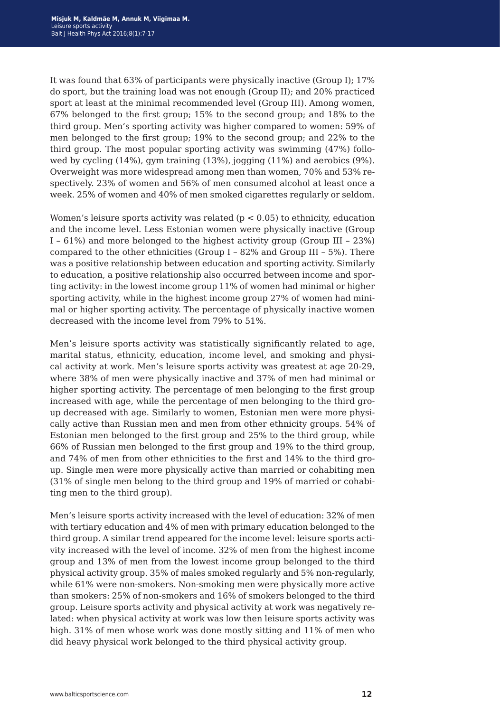It was found that 63% of participants were physically inactive (Group I); 17% do sport, but the training load was not enough (Group II); and 20% practiced sport at least at the minimal recommended level (Group III). Among women, 67% belonged to the first group; 15% to the second group; and 18% to the third group. Men's sporting activity was higher compared to women: 59% of men belonged to the first group; 19% to the second group; and 22% to the third group. The most popular sporting activity was swimming (47%) followed by cycling (14%), gym training (13%), jogging (11%) and aerobics (9%). Overweight was more widespread among men than women, 70% and 53% respectively. 23% of women and 56% of men consumed alcohol at least once a week. 25% of women and 40% of men smoked cigarettes regularly or seldom.

Women's leisure sports activity was related ( $p < 0.05$ ) to ethnicity, education and the income level. Less Estonian women were physically inactive (Group I – 61%) and more belonged to the highest activity group (Group III – 23%) compared to the other ethnicities (Group I – 82% and Group III – 5%). There was a positive relationship between education and sporting activity. Similarly to education, a positive relationship also occurred between income and sporting activity: in the lowest income group 11% of women had minimal or higher sporting activity, while in the highest income group 27% of women had minimal or higher sporting activity. The percentage of physically inactive women decreased with the income level from 79% to 51%.

Men's leisure sports activity was statistically significantly related to age, marital status, ethnicity, education, income level, and smoking and physical activity at work. Men's leisure sports activity was greatest at age 20-29, where 38% of men were physically inactive and 37% of men had minimal or higher sporting activity. The percentage of men belonging to the first group increased with age, while the percentage of men belonging to the third group decreased with age. Similarly to women, Estonian men were more physically active than Russian men and men from other ethnicity groups. 54% of Estonian men belonged to the first group and 25% to the third group, while 66% of Russian men belonged to the first group and 19% to the third group, and 74% of men from other ethnicities to the first and 14% to the third group. Single men were more physically active than married or cohabiting men (31% of single men belong to the third group and 19% of married or cohabiting men to the third group).

Men's leisure sports activity increased with the level of education: 32% of men with tertiary education and 4% of men with primary education belonged to the third group. A similar trend appeared for the income level: leisure sports activity increased with the level of income. 32% of men from the highest income group and 13% of men from the lowest income group belonged to the third physical activity group. 35% of males smoked regularly and 5% non-regularly, while 61% were non-smokers. Non-smoking men were physically more active than smokers: 25% of non-smokers and 16% of smokers belonged to the third group. Leisure sports activity and physical activity at work was negatively related: when physical activity at work was low then leisure sports activity was high. 31% of men whose work was done mostly sitting and 11% of men who did heavy physical work belonged to the third physical activity group.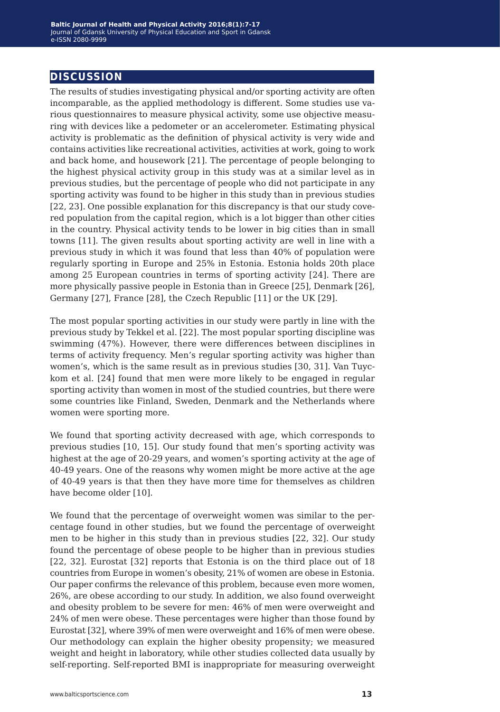## **discussion**

The results of studies investigating physical and/or sporting activity are often incomparable, as the applied methodology is different. Some studies use various questionnaires to measure physical activity, some use objective measuring with devices like a pedometer or an accelerometer. Estimating physical activity is problematic as the definition of physical activity is very wide and contains activities like recreational activities, activities at work, going to work and back home, and housework [21]. The percentage of people belonging to the highest physical activity group in this study was at a similar level as in previous studies, but the percentage of people who did not participate in any sporting activity was found to be higher in this study than in previous studies [22, 23]. One possible explanation for this discrepancy is that our study covered population from the capital region, which is a lot bigger than other cities in the country. Physical activity tends to be lower in big cities than in small towns [11]. The given results about sporting activity are well in line with a previous study in which it was found that less than 40% of population were regularly sporting in Europe and 25% in Estonia. Estonia holds 20th place among 25 European countries in terms of sporting activity [24]. There are more physically passive people in Estonia than in Greece [25], Denmark [26], Germany [27], France [28], the Czech Republic [11] or the UK [29].

The most popular sporting activities in our study were partly in line with the previous study by Tekkel et al. [22]. The most popular sporting discipline was swimming (47%). However, there were differences between disciplines in terms of activity frequency. Men's regular sporting activity was higher than women's, which is the same result as in previous studies [30, 31]. Van Tuyckom et al. [24] found that men were more likely to be engaged in regular sporting activity than women in most of the studied countries, but there were some countries like Finland, Sweden, Denmark and the Netherlands where women were sporting more.

We found that sporting activity decreased with age, which corresponds to previous studies [10, 15]. Our study found that men's sporting activity was highest at the age of 20-29 years, and women's sporting activity at the age of 40-49 years. One of the reasons why women might be more active at the age of 40-49 years is that then they have more time for themselves as children have become older [10].

We found that the percentage of overweight women was similar to the percentage found in other studies, but we found the percentage of overweight men to be higher in this study than in previous studies [22, 32]. Our study found the percentage of obese people to be higher than in previous studies [22, 32]. Eurostat [32] reports that Estonia is on the third place out of 18 countries from Europe in women's obesity, 21% of women are obese in Estonia. Our paper confirms the relevance of this problem, because even more women, 26%, are obese according to our study. In addition, we also found overweight and obesity problem to be severe for men: 46% of men were overweight and 24% of men were obese. These percentages were higher than those found by Eurostat [32], where 39% of men were overweight and 16% of men were obese. Our methodology can explain the higher obesity propensity; we measured weight and height in laboratory, while other studies collected data usually by self-reporting. Self-reported BMI is inappropriate for measuring overweight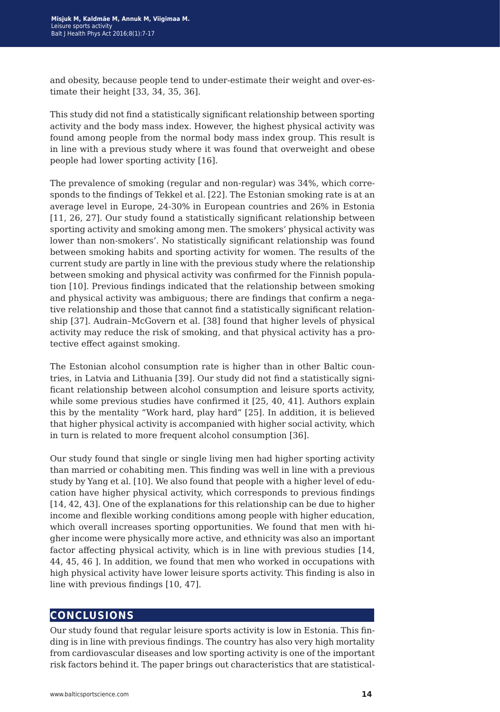and obesity, because people tend to under-estimate their weight and over-estimate their height [33, 34, 35, 36].

This study did not find a statistically significant relationship between sporting activity and the body mass index. However, the highest physical activity was found among people from the normal body mass index group. This result is in line with a previous study where it was found that overweight and obese people had lower sporting activity [16].

The prevalence of smoking (regular and non-regular) was 34%, which corresponds to the findings of Tekkel et al. [22]. The Estonian smoking rate is at an average level in Europe, 24-30% in European countries and 26% in Estonia [11, 26, 27]. Our study found a statistically significant relationship between sporting activity and smoking among men. The smokers' physical activity was lower than non-smokers'. No statistically significant relationship was found between smoking habits and sporting activity for women. The results of the current study are partly in line with the previous study where the relationship between smoking and physical activity was confirmed for the Finnish population [10]. Previous findings indicated that the relationship between smoking and physical activity was ambiguous; there are findings that confirm a negative relationship and those that cannot find a statistically significant relationship [37]. Audrain–McGovern et al. [38] found that higher levels of physical activity may reduce the risk of smoking, and that physical activity has a protective effect against smoking.

The Estonian alcohol consumption rate is higher than in other Baltic countries, in Latvia and Lithuania [39]. Our study did not find a statistically significant relationship between alcohol consumption and leisure sports activity, while some previous studies have confirmed it [25, 40, 41]. Authors explain this by the mentality "Work hard, play hard" [25]. In addition, it is believed that higher physical activity is accompanied with higher social activity, which in turn is related to more frequent alcohol consumption [36].

Our study found that single or single living men had higher sporting activity than married or cohabiting men. This finding was well in line with a previous study by Yang et al. [10]. We also found that people with a higher level of education have higher physical activity, which corresponds to previous findings [14, 42, 43]. One of the explanations for this relationship can be due to higher income and flexible working conditions among people with higher education, which overall increases sporting opportunities. We found that men with higher income were physically more active, and ethnicity was also an important factor affecting physical activity, which is in line with previous studies [14, 44, 45, 46 ]. In addition, we found that men who worked in occupations with high physical activity have lower leisure sports activity. This finding is also in line with previous findings [10, 47].

## **conclusions**

Our study found that regular leisure sports activity is low in Estonia. This finding is in line with previous findings. The country has also very high mortality from cardiovascular diseases and low sporting activity is one of the important risk factors behind it. The paper brings out characteristics that are statistical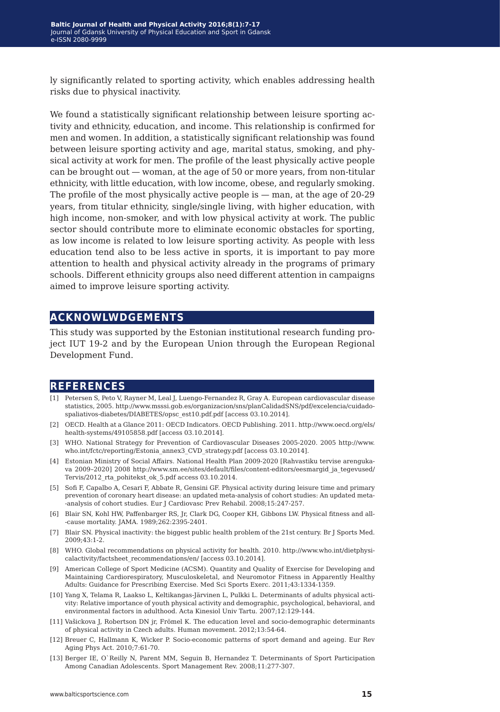ly significantly related to sporting activity, which enables addressing health risks due to physical inactivity.

We found a statistically significant relationship between leisure sporting activity and ethnicity, education, and income. This relationship is confirmed for men and women. In addition, a statistically significant relationship was found between leisure sporting activity and age, marital status, smoking, and physical activity at work for men. The profile of the least physically active people can be brought out — woman, at the age of 50 or more years, from non-titular ethnicity, with little education, with low income, obese, and regularly smoking. The profile of the most physically active people is — man, at the age of 20-29 years, from titular ethnicity, single/single living, with higher education, with high income, non-smoker, and with low physical activity at work. The public sector should contribute more to eliminate economic obstacles for sporting, as low income is related to low leisure sporting activity. As people with less education tend also to be less active in sports, it is important to pay more attention to health and physical activity already in the programs of primary schools. Different ethnicity groups also need different attention in campaigns aimed to improve leisure sporting activity.

### **acknowlwdgements**

This study was supported by the Estonian institutional research funding project IUT 19-2 and by the European Union through the European Regional Development Fund.

### **references**

- [1] Petersen S, Peto V, Rayner M, Leal J, Luengo-Fernandez R, Gray A. European cardiovascular disease statistics, 2005. http://www.msssi.gob.es/organizacion/sns/planCalidadSNS/pdf/excelencia/cuidadospaliativos-diabetes/DIABETES/opsc\_est10.pdf.pdf [access 03.10.2014].
- [2] OECD. Health at a Glance 2011: OECD Indicators. OECD Publishing. 2011. http://www.oecd.org/els/ health-systems/49105858.pdf [access 03.10.2014].
- [3] WHO. National Strategy for Prevention of Cardiovascular Diseases 2005-2020. 2005 http://www. who.int/fctc/reporting/Estonia\_annex3\_CVD\_strategy.pdf [access 03.10.2014].
- [4] Estonian Ministry of Social Affairs. National Health Plan 2009-2020 [Rahvastiku tervise arengukava 2009–2020] 2008 http://www.sm.ee/sites/default/files/content-editors/eesmargid ja tegevused/ Tervis/2012\_rta\_pohitekst\_ok\_5.pdf access 03.10.2014.
- [5] Sofi F, Capalbo A, Cesari F, Abbate R, Gensini GF. Physical activity during leisure time and primary prevention of coronary heart disease: an updated meta-analysis of cohort studies: An updated meta- -analysis of cohort studies. Eur J Cardiovasc Prev Rehabil. 2008;15:247-257.
- [6] Blair SN, Kohl HW, Paffenbarger RS, Jr, Clark DG, Cooper KH, Gibbons LW. Physical fitness and all- -cause mortality. JAMA. 1989;262:2395-2401.
- [7] Blair SN. Physical inactivity: the biggest public health problem of the 21st century. Br J Sports Med. 2009;43:1-2.
- [8] WHO. Global recommendations on physical activity for health. 2010. http://www.who.int/dietphysicalactivity/factsheet\_recommendations/en/ [access 03.10.2014].
- [9] American College of Sport Medicine (ACSM). Quantity and Quality of Exercise for Developing and Maintaining Cardiorespiratory, Musculoskeletal, and Neuromotor Fitness in Apparently Healthy Adults: Guidance for Prescribing Exercise. Med Sci Sports Exerc. 2011;43:1334-1359.
- [10] Yang X, Telama R, Laakso L, Keltikangas-Järvinen L, Pulkki L. Determinants of adults physical activity: Relative importance of youth physical activity and demographic, psychological, behavioral, and environmental factors in adulthood. Acta Kinesiol Univ Tartu. 2007;12:129-144.
- [11] Vašickova J, Robertson DN jr, Frömel K. The education level and socio-demographic determinants of physical activity in Czech adults. Human movement. 2012;13:54-64.
- [12] Breuer C, Hallmann K, Wicker P. Socio-economic patterns of sport demand and ageing. Eur Rev Aging Phys Act. 2010;7:61-70.
- [13] Berger IE, O`Reilly N, Parent MM, Seguin B, Hernandez T. Determinants of Sport Participation Among Canadian Adolescents. Sport Management Rev. 2008;11:277-307.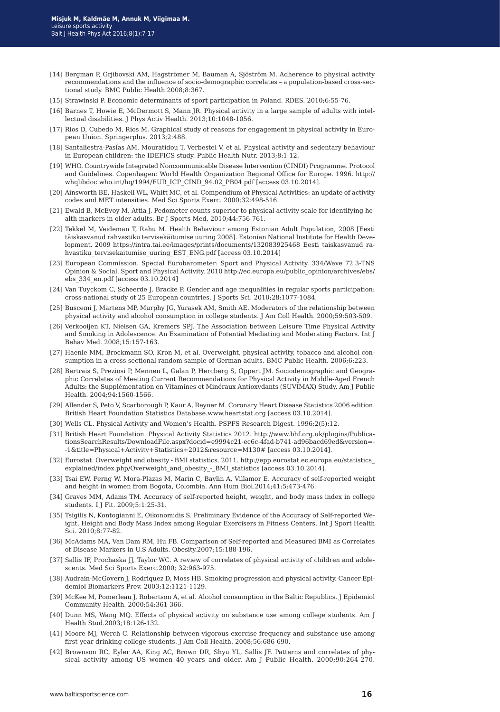- [14] Bergman P, Grjibovski AM, Hagströmer M, Bauman A, Sjöström M. Adherence to physical activity recommendations and the influence of socio-demographic correlates – a population-based cross-sectional study. BMC Public Health.2008;8:367.
- [15] Strawinski P. Economic determinants of sport participation in Poland. RDES. 2010;6:55-76.
- [16] Barnes T, Howie E, McDermott S, Mann JR. Physical activity in a large sample of adults with intellectual disabilities. J Phys Activ Health. 2013;10:1048-1056.
- [17] Rios D, Cubedo M, Rios M. Graphical study of reasons for engagement in physical activity in European Union. Springerplus. 2013;2:488.
- [18] Santaliestra-Pasías AM, Mouratidou T, Verbestel V, et al. Physical activity and sedentary behaviour in European children: the IDEFICS study. Public Health Nutr. 2013;8:1-12.
- [19] WHO. Countrywide Integrated Noncommunicable Disease Intervention (CINDI) Programme. Protocol and Guidelines. Copenhagen: World Health Organization Regional Office for Europe. 1996. http:// whqlibdoc.who.int/hq/1994/EUR\_ICP\_CIND\_94.02\_PB04.pdf [access 03.10.2014].
- [20] Ainsworth BE, Haskell WL, Whitt MC, et al. Compendium of Physical Activities: an update of activity codes and MET intensities. Med Sci Sports Exerc. 2000;32:498-516.
- [21] Ewald B, McEvoy M, Attia J. Pedometer counts superior to physical activity scale for identifying health markers in older adults. Br J Sports Med. 2010;44:756-761.
- [22] Tekkel M, Veideman T, Rahu M. Health Behaviour among Estonian Adult Population, 2008 [Eesti täiskasvanud rahvastiku tervisekäitumise uuring 2008]. Estonian National Institute for Health Development. 2009 https://intra.tai.ee/images/prints/documents/132083925468 Eesti taiskasvanud rahvastiku tervisekaitumise uuring EST ENG.pdf [access 03.10.2014]
- [23] European Commission. Special Eurobarometer: Sport and Physical Activity. 334/Wave 72.3-TNS Opinion & Social. Sport and Physical Activity. 2010 http://ec.europa.eu/public\_opinion/archives/ebs/ ebs\_334\_en.pdf [access 03.10.2014]
- [24] Van Tuyckom C, Scheerde J, Bracke P. Gender and age inequalities in regular sports participation: cross-national study of 25 European countries. J Sports Sci. 2010;28:1077-1084.
- [25] Buscemi J, Martens MP, Murphy JG, Yurasek AM, Smith AE. Moderators of the relationship between physical activity and alcohol consumption in college students. J Am Coll Health. 2000;59:503-509.
- [26] Verkooijen KT, Nielsen GA, Kremers SPJ. The Association between Leisure Time Physical Activity and Smoking in Adolescence: An Examination of Potential Mediating and Moderating Factors. Int J Behav Med. 2008;15:157-163.
- [27] Haenle MM, Brockmann SO, Kron M, et al. Overweight, physical activity, tobacco and alcohol consumption in a cross-sectional random sample of German adults. BMC Public Health. 2006;6:223.
- [28] Bertrais S, Preziosi P, Mennen L, Galan P, Hercberg S, Oppert JM. Sociodemographic and Geographic Correlates of Meeting Current Recommendations for Physical Activity in Middle-Aged French Adults: the Supplémentation en Vitamines et Minéraux Antioxydants (SUVIMAX) Study. Am J Public Health. 2004;94:1560-1566.
- [29] Allender S, Peto V, Scarborough P, Kaur A, Reyner M. Coronary Heart Disease Statistics 2006 edition. British Heart Foundation Statistics Database.www.heartstat.org [access 03.10.2014].
- [30] Wells CL. Physical Activity and Women's Health. PSPFS Research Digest. 1996;2(5):12.
- [31] British Heart Foundation. Physical Activity Statistics 2012. http://www.bhf.org.uk/plugins/PublicationsSearchResults/DownloadFile.aspx?docid=e9994c21-ec6c-4fad-b741-ad96bacd69ed&version=- -1&title=Physical+Activity+Statistics+2012&resource=M130# [access 03.10.2014].
- [32] Eurostat. Overweight and obesity BMI statistics. 2011. http://epp.eurostat.ec.europa.eu/statistics\_ explained/index.php/Overweight\_and\_obesity\_-\_BMI\_statistics [access 03.10.2014].
- [33] Tsai EW, Perng W, Mora-Plazas M, Marin C, Baylin A, Villamor E. Accuracy of self-reported weight and height in women from Bogota, Colombia. Ann Hum Biol.2014;41:5:473-476.
- [34] Graves MM, Adams TM. Accuracy of self-reported height, weight, and body mass index in college students. I J Fit. 2009;5:1:25-31.
- [35] Tsigilis N, Kontogianni E, Oikonomidis S. Preliminary Evidence of the Accuracy of Self-reported Weight, Height and Body Mass Index among Regular Exercisers in Fitness Centers. Int J Sport Health Sci. 2010;8:77-82.
- [36] McAdams MA, Van Dam RM, Hu FB. Comparison of Self-reported and Measured BMI as Correlates of Disease Markers in U.S Adults. Obesity.2007;15:188-196.
- [37] Sallis IF, Prochaska JJ, Taylor WC. A review of correlates of physical activity of children and adolescents. Med Sci Sports Exerc.2000; 32:963-975.
- [38] Audrain-McGovern J, Rodriquez D, Moss HB. Smoking progression and physical activity. Cancer Epidemiol Biomarkers Prev. 2003;12:1121-1129.
- [39] McKee M, Pomerleau J, Robertson A, et al. Alcohol consumption in the Baltic Republics. J Epidemiol Community Health. 2000;54:361-366.
- [40] Dunn MS, Wang MQ. Effects of physical activity on substance use among college students. Am J Health Stud.2003;18:126-132.
- [41] Moore MJ, Werch C. Relationship between vigorous exercise frequency and substance use among first-year drinking college students. J Am Coll Health. 2008;56:686-690.
- [42] Brownson RC, Eyler AA, King AC, Brown DR, Shyu YL, Sallis JF. Patterns and correlates of physical activity among US women 40 years and older. Am J Public Health. 2000;90:264-270.